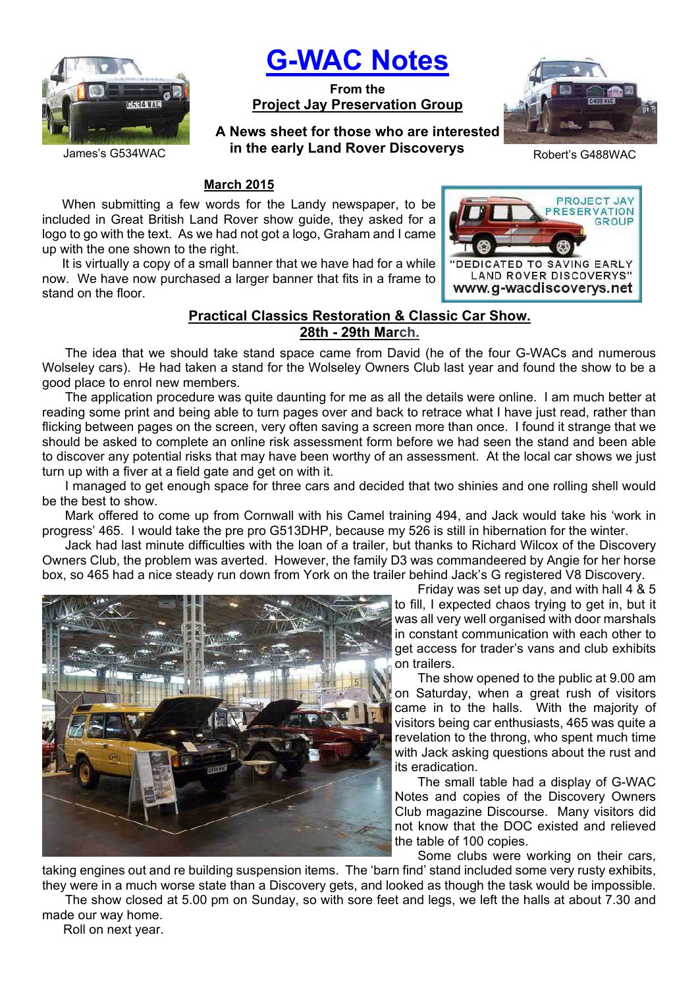

# **G-WAC Notes**

**From the Project Jay Preservation Group**

James's G534WAC **in the early Land Rover Discoverys** Robert's G488WAC **A News sheet for those who are interested** 



**PROJECT JAY RESERVATION** GROUP

DEDICATED TO SAVING EARLY LAND ROVER DISCOVERYS' www.g-wacdiscoverys.net

## **March 2015**

When submitting a few words for the Landy newspaper, to be included in Great British Land Rover show guide, they asked for a logo to go with the text. As we had not got a logo, Graham and I came up with the one shown to the right.

It is virtually a copy of a small banner that we have had for a while now. We have now purchased a larger banner that fits in a frame to stand on the floor.

## **Practical Classics Restoration & Classic Car Show. 28th - 29th March.**

The idea that we should take stand space came from David (he of the four G-WACs and numerous Wolseley cars). He had taken a stand for the Wolseley Owners Club last year and found the show to be a good place to enrol new members.

The application procedure was quite daunting for me as all the details were online. I am much better at reading some print and being able to turn pages over and back to retrace what I have just read, rather than flicking between pages on the screen, very often saving a screen more than once. I found it strange that we should be asked to complete an online risk assessment form before we had seen the stand and been able to discover any potential risks that may have been worthy of an assessment. At the local car shows we just turn up with a fiver at a field gate and get on with it.

I managed to get enough space for three cars and decided that two shinies and one rolling shell would be the best to show.

Mark offered to come up from Cornwall with his Camel training 494, and Jack would take his 'work in progress' 465. I would take the pre pro G513DHP, because my 526 is still in hibernation for the winter.

Jack had last minute difficulties with the loan of a trailer, but thanks to Richard Wilcox of the Discovery Owners Club, the problem was averted. However, the family D3 was commandeered by Angie for her horse box, so 465 had a nice steady run down from York on the trailer behind Jack's G registered V8 Discovery.



Friday was set up day, and with hall 4 & 5 to fill, I expected chaos trying to get in, but it was all very well organised with door marshals in constant communication with each other to get access for trader's vans and club exhibits on trailers.

The show opened to the public at 9.00 am on Saturday, when a great rush of visitors came in to the halls. With the majority of visitors being car enthusiasts, 465 was quite a revelation to the throng, who spent much time with Jack asking questions about the rust and its eradication.

The small table had a display of G-WAC Notes and copies of the Discovery Owners Club magazine Discourse. Many visitors did not know that the DOC existed and relieved the table of 100 copies.

Some clubs were working on their cars,

taking engines out and re building suspension items. The 'barn find' stand included some very rusty exhibits, they were in a much worse state than a Discovery gets, and looked as though the task would be impossible.

The show closed at 5.00 pm on Sunday, so with sore feet and legs, we left the halls at about 7.30 and made our way home.

Roll on next year.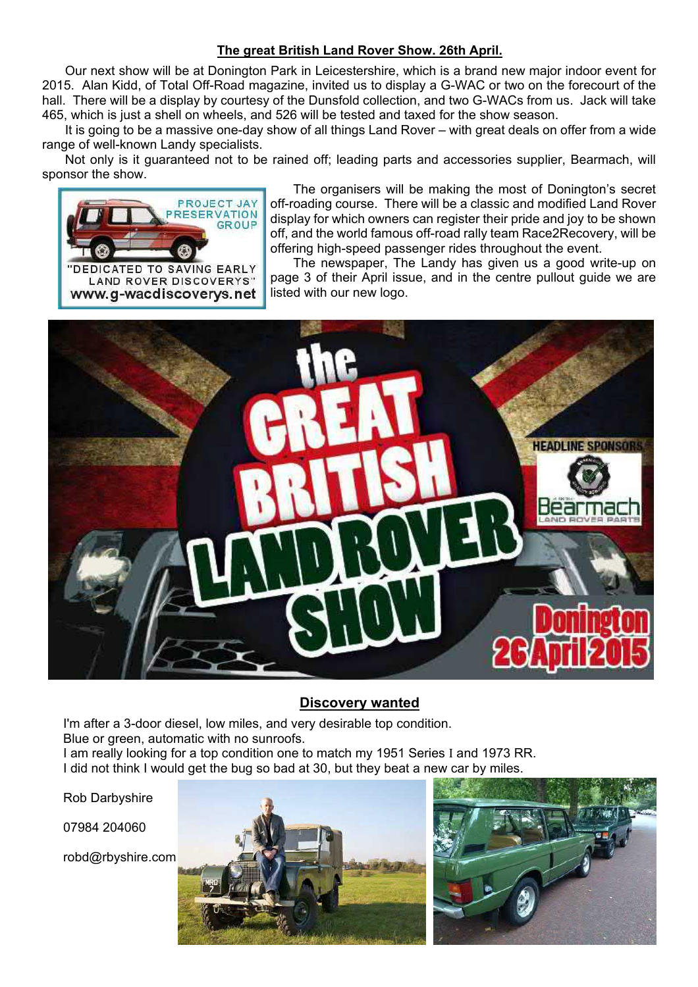## **The great British Land Rover Show. 26th April.**

Our next show will be at Donington Park in Leicestershire, which is a brand new major indoor event for 2015. Alan Kidd, of Total Off-Road magazine, invited us to display a G-WAC or two on the forecourt of the hall. There will be a display by courtesy of the Dunsfold collection, and two G-WACs from us. Jack will take 465, which is just a shell on wheels, and 526 will be tested and taxed for the show season.

It is going to be a massive one-day show of all things Land Rover – with great deals on offer from a wide range of well-known Landy specialists.

Not only is it guaranteed not to be rained off; leading parts and accessories supplier, Bearmach, will sponsor the show.



The organisers will be making the most of Donington's secret off-roading course. There will be a classic and modified Land Rover display for which owners can register their pride and joy to be shown off, and the world famous off-road rally team Race2Recovery, will be offering high-speed passenger rides throughout the event.

The newspaper, The Landy has given us a good write-up on page 3 of their April issue, and in the centre pullout guide we are listed with our new logo.



## **Discovery wanted**

I'm after a 3-door diesel, low miles, and very desirable top condition. Blue or green, automatic with no sunroofs. I am really looking for a top condition one to match my 1951 Series I and 1973 RR. I did not think I would get the bug so bad at 30, but they beat a new car by miles.

Rob Darbyshire

07984 204060

robd@rbyshire.com